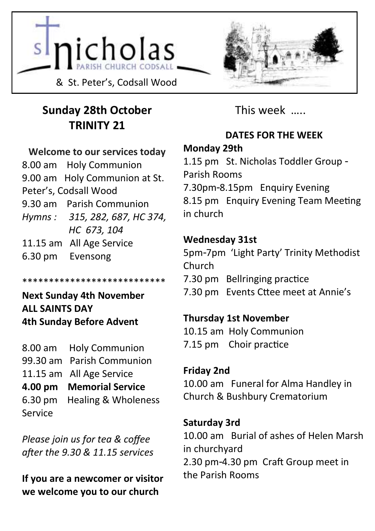



# **Sunday 28th October TRINITY 21**

#### **Welcome to our services today**

8.00 am Holy Communion 9.00 am Holy Communion at St. Peter's, Codsall Wood 9.30 am Parish Communion *Hymns : 315, 282, 687, HC 374, HC 673, 104* 11.15 am All Age Service 6.30 pm Evensong

#### \*\*\*\*\*\*\*\*\*\*\*\*\*\*\*\*\*\*\*\*\*\*\*\*\*\*\*

**Next Sunday 4th November ALL SAINTS DAY 4th Sunday Before Advent**

8.00 am Holy Communion 99.30 am Parish Communion 11.15 am All Age Service **4.00 pm Memorial Service** 6.30 pm Healing & Wholeness Service

*Please join us for tea & coffee after the 9.30 & 11.15 services*

**If you are a newcomer or visitor we welcome you to our church**

This week …..

## **DATES FOR THE WEEK**

### **Monday 29th**

1.15 pm St. Nicholas Toddler Group - Parish Rooms 7.30pm-8.15pm Enquiry Evening 8.15 pm Enquiry Evening Team Meeting in church

## **Wednesday 31st**

5pm-7pm 'Light Party' Trinity Methodist Church 7.30 pm Bellringing practice

7.30 pm Events Cttee meet at Annie's

## **Thursday 1st November**

10.15 am Holy Communion 7.15 pm Choir practice

## **Friday 2nd**

10.00 am Funeral for Alma Handley in Church & Bushbury Crematorium

## **Saturday 3rd**

10.00 am Burial of ashes of Helen Marsh in churchyard 2.30 pm-4.30 pm Craft Group meet in the Parish Rooms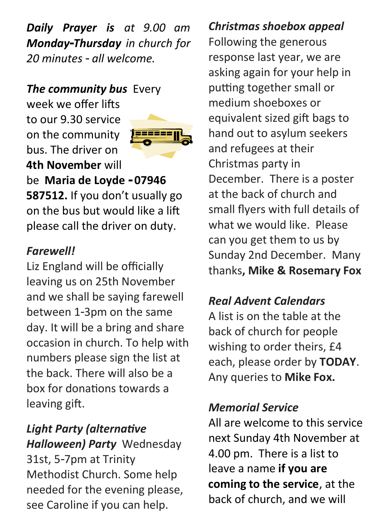*Daily Prayer is at 9.00 am Monday-Thursday in church for 20 minutes - all welcome.* 

# *The community bus Every*

week we offer lifts to our 9.30 service on the community bus. The driver on **4th November** will



be **Maria de Loyde - 07946 587512.** If you don't usually go on the bus but would like a lift please call the driver on duty.

# *Farewell!*

Liz England will be officially leaving us on 25th November and we shall be saying farewell between 1-3pm on the same day. It will be a bring and share occasion in church. To help with numbers please sign the list at the back. There will also be a box for donations towards a leaving gift.

# *Light Party (alternative Halloween) Party* Wednesday 31st, 5-7pm at Trinity Methodist Church. Some help needed for the evening please, see Caroline if you can help.

## *Christmas shoebox appeal*

Following the generous response last year, we are asking again for your help in putting together small or medium shoeboxes or equivalent sized gift bags to hand out to asylum seekers and refugees at their Christmas party in December. There is a poster at the back of church and small flyers with full details of what we would like. Please can you get them to us by Sunday 2nd December. Many thanks**, Mike & Rosemary Fox**

## *Real Advent Calendars*

A list is on the table at the back of church for people wishing to order theirs, £4 each, please order by **TODAY**. Any queries to **Mike Fox.**

# *Memorial Service*

All are welcome to this service next Sunday 4th November at 4.00 pm. There is a list to leave a name **if you are coming to the service**, at the back of church, and we will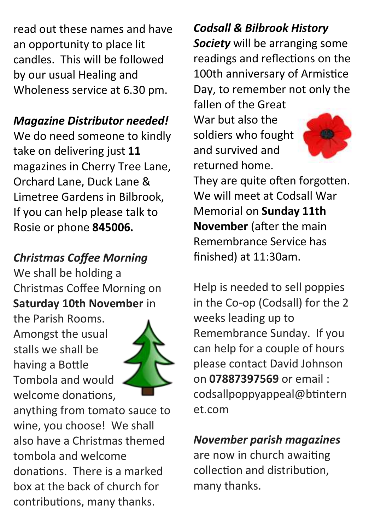read out these names and have an opportunity to place lit candles. This will be followed by our usual Healing and Wholeness service at 6.30 pm.

## *Magazine Distributor needed!*

We do need someone to kindly take on delivering just **11** magazines in Cherry Tree Lane, Orchard Lane, Duck Lane & Limetree Gardens in Bilbrook, If you can help please talk to Rosie or phone **845006.**

# *Christmas Coffee Morning*

We shall be holding a Christmas Coffee Morning on **Saturday 10th November** in

the Parish Rooms. Amongst the usual stalls we shall be having a Bottle Tombola and would welcome donations,



anything from tomato sauce to wine, you choose! We shall also have a Christmas themed tombola and welcome donations. There is a marked box at the back of church for contributions, many thanks.

# *Codsall & Bilbrook History*

*Society* will be arranging some readings and reflections on the 100th anniversary of Armistice Day, to remember not only the

fallen of the Great War but also the soldiers who fought and survived and returned home.



They are quite often forgotten. We will meet at Codsall War Memorial on **Sunday 11th November** (after the main Remembrance Service has finished) at 11:30am.

Help is needed to sell poppies in the Co-op (Codsall) for the 2 weeks leading up to Remembrance Sunday. If you can help for a couple of hours please contact David Johnson on **07887397569** or email : codsallpoppyappeal@btintern et.com

*November parish magazines* are now in church awaiting collection and distribution, many thanks.